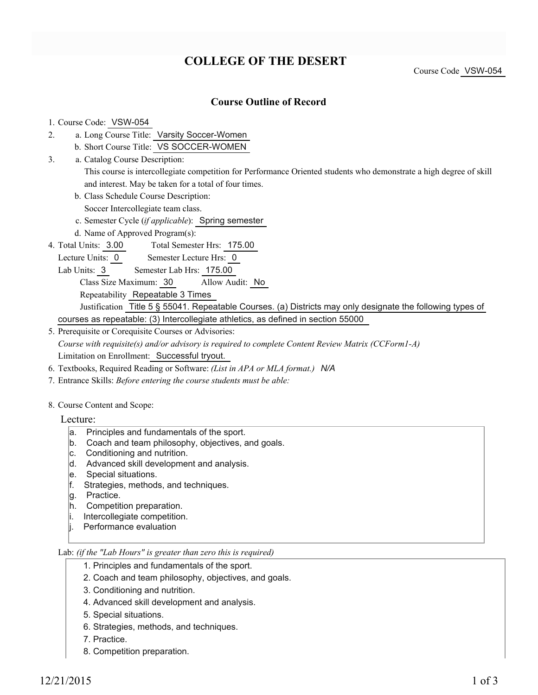# **COLLEGE OF THE DESERT**

Course Code VSW-054

#### **Course Outline of Record**

#### 1. Course Code: VSW-054

- a. Long Course Title: Varsity Soccer-Women 2.
	- b. Short Course Title: VS SOCCER-WOMEN
- Catalog Course Description: a. This course is intercollegiate competition for Performance Oriented students who demonstrate a high degree of skill and interest. May be taken for a total of four times. 3.
	- b. Class Schedule Course Description:

Soccer Intercollegiate team class.

- c. Semester Cycle (*if applicable*): Spring semester
- d. Name of Approved Program(s):
- Total Semester Hrs: 175.00 4. Total Units: 3.00
- Lecture Units: 0 Semester Lecture Hrs: 0
	- Lab Units: 3 Semester Lab Hrs: 175.00
		- Class Size Maximum: 30 Allow Audit: No

Repeatability Repeatable 3 Times

Justification Title 5 § 55041. Repeatable Courses. (a) Districts may only designate the following types of courses as repeatable: (3) Intercollegiate athletics, as defined in section 55000

- 5. Prerequisite or Corequisite Courses or Advisories: *Course with requisite(s) and/or advisory is required to complete Content Review Matrix (CCForm1-A)* Limitation on Enrollment: Successful tryout.
- 6. Textbooks, Required Reading or Software: *(List in APA or MLA format.) N/A*
- 7. Entrance Skills: *Before entering the course students must be able:*

## 8. Course Content and Scope:

- Lecture:
	- a. Principles and fundamentals of the sport.
	- b. Coach and team philosophy, objectives, and goals.
	- c. Conditioning and nutrition.
	- d. Advanced skill development and analysis.
	- e. Special situations.
	- f. Strategies, methods, and techniques.
	- g. Practice.
	- h. Competition preparation.
	- i. Intercollegiate competition.
	- j. Performance evaluation

## Lab: *(if the "Lab Hours" is greater than zero this is required)*

- 1. Principles and fundamentals of the sport.
- 2. Coach and team philosophy, objectives, and goals.
- 3. Conditioning and nutrition.
- 4. Advanced skill development and analysis.
- 5. Special situations.
- 6. Strategies, methods, and techniques.
- 7. Practice.
- 8. Competition preparation.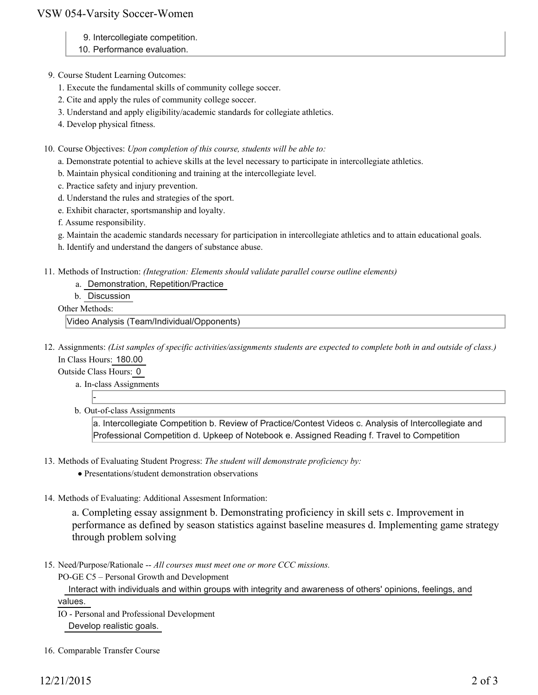#### VSW 054-Varsity Soccer-Women

- 9. Intercollegiate competition.
- 10. Performance evaluation.
- 9. Course Student Learning Outcomes:
	- 1. Execute the fundamental skills of community college soccer.
	- 2. Cite and apply the rules of community college soccer.
	- 3. Understand and apply eligibility/academic standards for collegiate athletics.
	- 4. Develop physical fitness.

10. Course Objectives: Upon completion of this course, students will be able to:

- a. Demonstrate potential to achieve skills at the level necessary to participate in intercollegiate athletics.
- b. Maintain physical conditioning and training at the intercollegiate level.
- c. Practice safety and injury prevention.
- d. Understand the rules and strategies of the sport.
- e. Exhibit character, sportsmanship and loyalty.
- f. Assume responsibility.
- g. Maintain the academic standards necessary for participation in intercollegiate athletics and to attain educational goals.
- h. Identify and understand the dangers of substance abuse.
- 11. Methods of Instruction: *(Integration: Elements should validate parallel course outline elements)* 
	- a. Demonstration, Repetition/Practice
	- b. Discussion

Other Methods:

Video Analysis (Team/Individual/Opponents)

12. Assignments: (List samples of specific activities/assignments students are expected to complete both in and outside of class.) In Class Hours: 180.00

Outside Class Hours: 0

-

- a. In-class Assignments
- b. Out-of-class Assignments

a. Intercollegiate Competition b. Review of Practice/Contest Videos c. Analysis of Intercollegiate and Professional Competition d. Upkeep of Notebook e. Assigned Reading f. Travel to Competition

- 13. Methods of Evaluating Student Progress: The student will demonstrate proficiency by:
	- Presentations/student demonstration observations
- 14. Methods of Evaluating: Additional Assesment Information:

a. Completing essay assignment b. Demonstrating proficiency in skill sets c. Improvement in performance as defined by season statistics against baseline measures d. Implementing game strategy through problem solving

15. Need/Purpose/Rationale -- All courses must meet one or more CCC missions.

PO-GE C5 – Personal Growth and Development

 Interact with individuals and within groups with integrity and awareness of others' opinions, feelings, and values.

- IO Personal and Professional Development Develop realistic goals.
- 16. Comparable Transfer Course